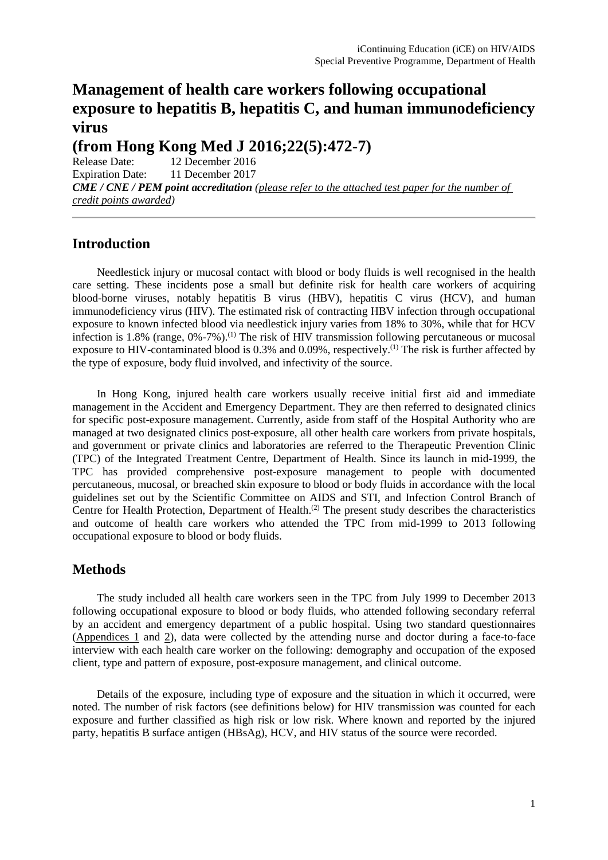# **Management of health care workers following occupational exposure to hepatitis B, hepatitis C, and human immunodeficiency virus**

**(from Hong Kong Med J 2016;22(5):472-7)**

Release Date: 12 December 2016 Expiration Date: 11 December 2017 *CME / CNE / PEM point accreditation (please refer to the attached test paper for the number of credit points awarded)* 

# **Introduction**

Needlestick injury or mucosal contact with blood or body fluids is well recognised in the health care setting. These incidents pose a small but definite risk for health care workers of acquiring blood-borne viruses, notably hepatitis B virus (HBV), hepatitis C virus (HCV), and human immunodeficiency virus (HIV). The estimated risk of contracting HBV infection through occupational exposure to known infected blood via needlestick injury varies from 18% to 30%, while that for HCV infection is 1.8% (range,  $0\% -7\%$ ).<sup>(1)</sup> The risk of HIV transmission following percutaneous or mucosal exposure to HIV-contaminated blood is 0.3% and 0.09%, respectively.<sup>(1)</sup> The risk is further affected by the type of exposure, body fluid involved, and infectivity of the source.

In Hong Kong, injured health care workers usually receive initial first aid and immediate management in the Accident and Emergency Department. They are then referred to designated clinics for specific post-exposure management. Currently, aside from staff of the Hospital Authority who are managed at two designated clinics post-exposure, all other health care workers from private hospitals, and government or private clinics and laboratories are referred to the Therapeutic Prevention Clinic (TPC) of the Integrated Treatment Centre, Department of Health. Since its launch in mid-1999, the TPC has provided comprehensive post-exposure management to people with documented percutaneous, mucosal, or breached skin exposure to blood or body fluids in accordance with the local guidelines set out by the Scientific Committee on AIDS and STI, and Infection Control Branch of Centre for Health Protection, Department of Health.<sup>(2)</sup> The present study describes the characteristics and outcome of health care workers who attended the TPC from mid-1999 to 2013 following occupational exposure to blood or body fluids.

# **Methods**

The study included all health care workers seen in the TPC from July 1999 to December 2013 following occupational exposure to blood or body fluids, who attended following secondary referral by an accident and emergency department of a public hospital. Using two standard questionnaires [\(Appendices 1](http://www.hkmj.org/system/files/hkmj164897-appendix1.pdf) and [2\)](http://www.hkmj.org/system/files/hkmj164897-appendix2.pdf), data were collected by the attending nurse and doctor during a face-to-face interview with each health care worker on the following: demography and occupation of the exposed client, type and pattern of exposure, post-exposure management, and clinical outcome.

Details of the exposure, including type of exposure and the situation in which it occurred, were noted. The number of risk factors (see definitions below) for HIV transmission was counted for each exposure and further classified as high risk or low risk. Where known and reported by the injured party, hepatitis B surface antigen (HBsAg), HCV, and HIV status of the source were recorded.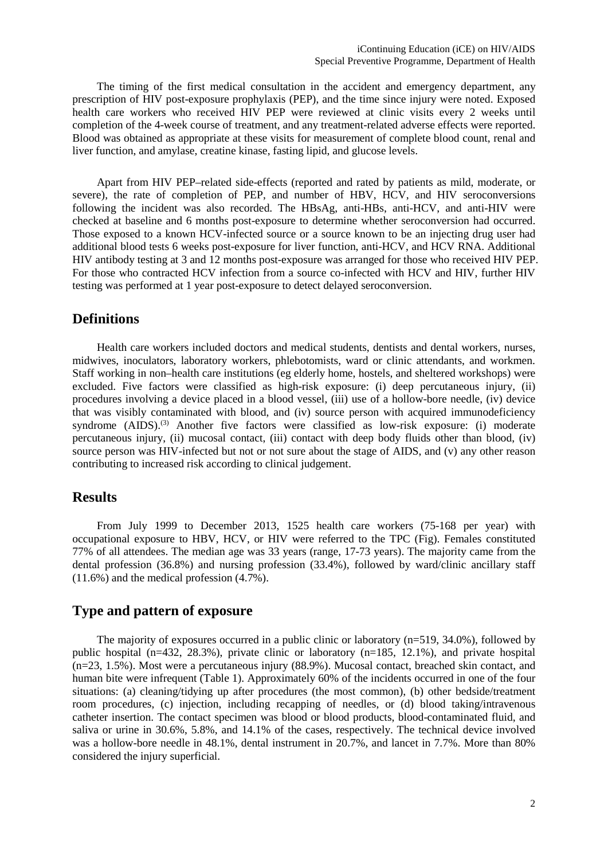The timing of the first medical consultation in the accident and emergency department, any prescription of HIV post-exposure prophylaxis (PEP), and the time since injury were noted. Exposed health care workers who received HIV PEP were reviewed at clinic visits every 2 weeks until completion of the 4-week course of treatment, and any treatment-related adverse effects were reported. Blood was obtained as appropriate at these visits for measurement of complete blood count, renal and liver function, and amylase, creatine kinase, fasting lipid, and glucose levels.

Apart from HIV PEP–related side-effects (reported and rated by patients as mild, moderate, or severe), the rate of completion of PEP, and number of HBV, HCV, and HIV seroconversions following the incident was also recorded. The HBsAg, anti-HBs, anti-HCV, and anti-HIV were checked at baseline and 6 months post-exposure to determine whether seroconversion had occurred. Those exposed to a known HCV-infected source or a source known to be an injecting drug user had additional blood tests 6 weeks post-exposure for liver function, anti-HCV, and HCV RNA. Additional HIV antibody testing at 3 and 12 months post-exposure was arranged for those who received HIV PEP. For those who contracted HCV infection from a source co-infected with HCV and HIV, further HIV testing was performed at 1 year post-exposure to detect delayed seroconversion.

#### **Definitions**

Health care workers included doctors and medical students, dentists and dental workers, nurses, midwives, inoculators, laboratory workers, phlebotomists, ward or clinic attendants, and workmen. Staff working in non–health care institutions (eg elderly home, hostels, and sheltered workshops) were excluded. Five factors were classified as high-risk exposure: (i) deep percutaneous injury, (ii) procedures involving a device placed in a blood vessel, (iii) use of a hollow-bore needle, (iv) device that was visibly contaminated with blood, and (iv) source person with acquired immunodeficiency syndrome (AIDS).<sup>(3)</sup> Another five factors were classified as low-risk exposure: (i) moderate percutaneous injury, (ii) mucosal contact, (iii) contact with deep body fluids other than blood, (iv) source person was HIV-infected but not or not sure about the stage of AIDS, and (v) any other reason contributing to increased risk according to clinical judgement.

#### **Results**

From July 1999 to December 2013, 1525 health care workers (75-168 per year) with occupational exposure to HBV, HCV, or HIV were referred to the TPC (Fig). Females constituted 77% of all attendees. The median age was 33 years (range, 17-73 years). The majority came from the dental profession (36.8%) and nursing profession (33.4%), followed by ward/clinic ancillary staff  $(11.6\%)$  and the medical profession  $(4.7\%)$ .

#### **Type and pattern of exposure**

The majority of exposures occurred in a public clinic or laboratory (n=519, 34.0%), followed by public hospital (n=432, 28.3%), private clinic or laboratory (n=185, 12.1%), and private hospital (n=23, 1.5%). Most were a percutaneous injury (88.9%). Mucosal contact, breached skin contact, and human bite were infrequent (Table 1). Approximately 60% of the incidents occurred in one of the four situations: (a) cleaning/tidying up after procedures (the most common), (b) other bedside/treatment room procedures, (c) injection, including recapping of needles, or (d) blood taking/intravenous catheter insertion. The contact specimen was blood or blood products, blood-contaminated fluid, and saliva or urine in 30.6%, 5.8%, and 14.1% of the cases, respectively. The technical device involved was a hollow-bore needle in 48.1%, dental instrument in 20.7%, and lancet in 7.7%. More than 80% considered the injury superficial.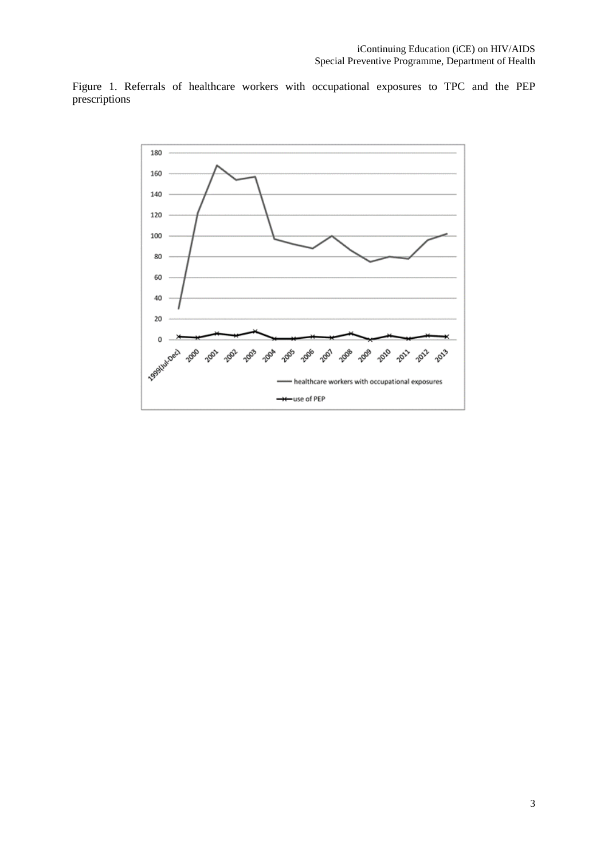Figure 1. Referrals of healthcare workers with occupational exposures to TPC and the PEP prescriptions

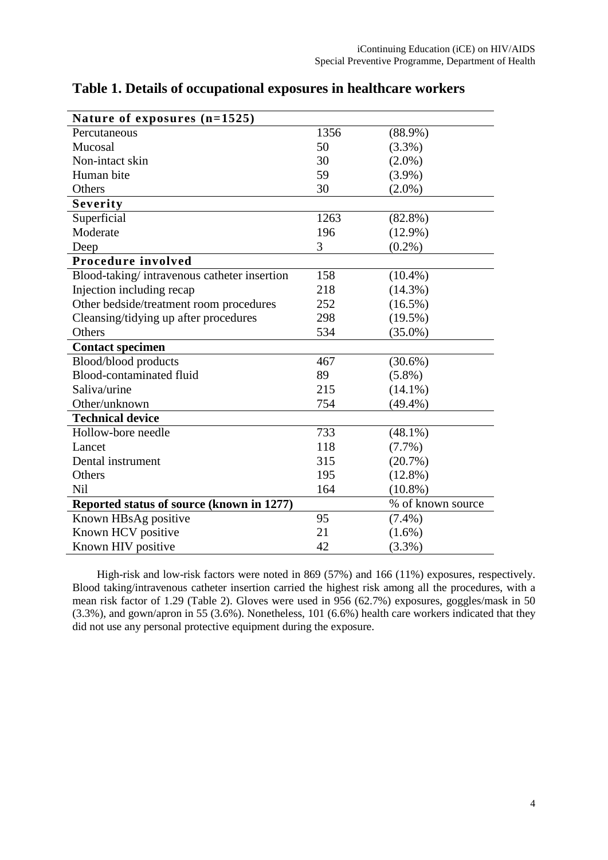| Nature of exposures $(n=1525)$              |      |                   |
|---------------------------------------------|------|-------------------|
| Percutaneous                                | 1356 | $(88.9\%)$        |
| Mucosal                                     | 50   | $(3.3\%)$         |
| Non-intact skin                             | 30   | $(2.0\%)$         |
| Human bite                                  | 59   | $(3.9\%)$         |
| Others                                      | 30   | $(2.0\%)$         |
| Severity                                    |      |                   |
| Superficial                                 | 1263 | $(82.8\%)$        |
| Moderate                                    | 196  | $(12.9\%)$        |
| Deep                                        | 3    | $(0.2\%)$         |
| Procedure involved                          |      |                   |
| Blood-taking/intravenous catheter insertion | 158  | $(10.4\%)$        |
| Injection including recap                   | 218  | $(14.3\%)$        |
| Other bedside/treatment room procedures     | 252  | $(16.5\%)$        |
| Cleansing/tidying up after procedures       | 298  | $(19.5\%)$        |
| Others                                      | 534  | $(35.0\%)$        |
| <b>Contact specimen</b>                     |      |                   |
| Blood/blood products                        | 467  | $(30.6\%)$        |
| Blood-contaminated fluid                    | 89   | $(5.8\%)$         |
| Saliva/urine                                | 215  | $(14.1\%)$        |
| Other/unknown                               | 754  | $(49.4\%)$        |
| <b>Technical device</b>                     |      |                   |
| Hollow-bore needle                          | 733  | $(48.1\%)$        |
| Lancet                                      | 118  | $(7.7\%)$         |
| Dental instrument                           | 315  | (20.7%)           |
| Others                                      | 195  | $(12.8\%)$        |
| Nil                                         | 164  | $(10.8\%)$        |
| Reported status of source (known in 1277)   |      | % of known source |
| Known HBsAg positive                        | 95   | $(7.4\%)$         |
| Known HCV positive                          | 21   | $(1.6\%)$         |
| Known HIV positive                          | 42   | $(3.3\%)$         |

**Table 1. Details of occupational exposures in healthcare workers** 

High-risk and low-risk factors were noted in 869 (57%) and 166 (11%) exposures, respectively. Blood taking/intravenous catheter insertion carried the highest risk among all the procedures, with a mean risk factor of 1.29 (Table 2). Gloves were used in 956 (62.7%) exposures, goggles/mask in 50 (3.3%), and gown/apron in 55 (3.6%). Nonetheless, 101 (6.6%) health care workers indicated that they did not use any personal protective equipment during the exposure.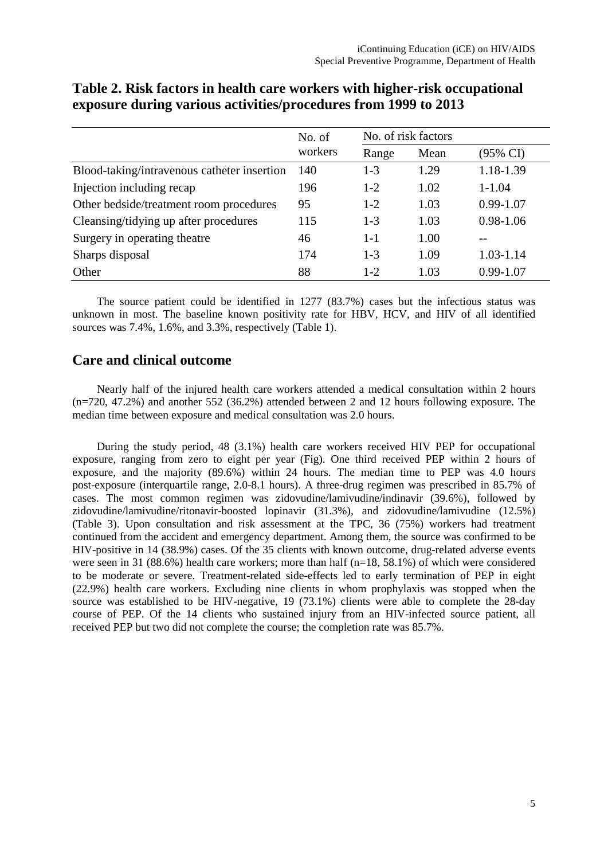|                                             | No. of  | No. of risk factors |      |               |
|---------------------------------------------|---------|---------------------|------|---------------|
|                                             | workers | Range               | Mean | (95% CI)      |
| Blood-taking/intravenous catheter insertion | 140     | $1 - 3$             | 1.29 | 1.18-1.39     |
| Injection including recap                   | 196     | $1-2$               | 1.02 | $1 - 1.04$    |
| Other bedside/treatment room procedures     | 95      | $1-2$               | 1.03 | $0.99 - 1.07$ |
| Cleansing/tidying up after procedures       | 115     | $1 - 3$             | 1.03 | $0.98 - 1.06$ |
| Surgery in operating theatre                | 46      | $1 - 1$             | 1.00 |               |
| Sharps disposal                             | 174     | $1 - 3$             | 1.09 | $1.03 - 1.14$ |
| Other                                       | 88      | $1 - 2$             | 1.03 | $0.99 - 1.07$ |

## **Table 2. Risk factors in health care workers with higher-risk occupational exposure during various activities/procedures from 1999 to 2013**

The source patient could be identified in 1277 (83.7%) cases but the infectious status was unknown in most. The baseline known positivity rate for HBV, HCV, and HIV of all identified sources was 7.4%, 1.6%, and 3.3%, respectively (Table 1).

#### **Care and clinical outcome**

Nearly half of the injured health care workers attended a medical consultation within 2 hours (n=720, 47.2%) and another 552 (36.2%) attended between 2 and 12 hours following exposure. The median time between exposure and medical consultation was 2.0 hours.

During the study period, 48 (3.1%) health care workers received HIV PEP for occupational exposure, ranging from zero to eight per year (Fig). One third received PEP within 2 hours of exposure, and the majority (89.6%) within 24 hours. The median time to PEP was 4.0 hours post-exposure (interquartile range, 2.0-8.1 hours). A three-drug regimen was prescribed in 85.7% of cases. The most common regimen was zidovudine/lamivudine/indinavir (39.6%), followed by zidovudine/lamivudine/ritonavir-boosted lopinavir (31.3%), and zidovudine/lamivudine (12.5%) (Table 3). Upon consultation and risk assessment at the TPC, 36 (75%) workers had treatment continued from the accident and emergency department. Among them, the source was confirmed to be HIV-positive in 14 (38.9%) cases. Of the 35 clients with known outcome, drug-related adverse events were seen in 31 (88.6%) health care workers; more than half (n=18, 58.1%) of which were considered to be moderate or severe. Treatment-related side-effects led to early termination of PEP in eight (22.9%) health care workers. Excluding nine clients in whom prophylaxis was stopped when the source was established to be HIV-negative, 19 (73.1%) clients were able to complete the 28-day course of PEP. Of the 14 clients who sustained injury from an HIV-infected source patient, all received PEP but two did not complete the course; the completion rate was 85.7%.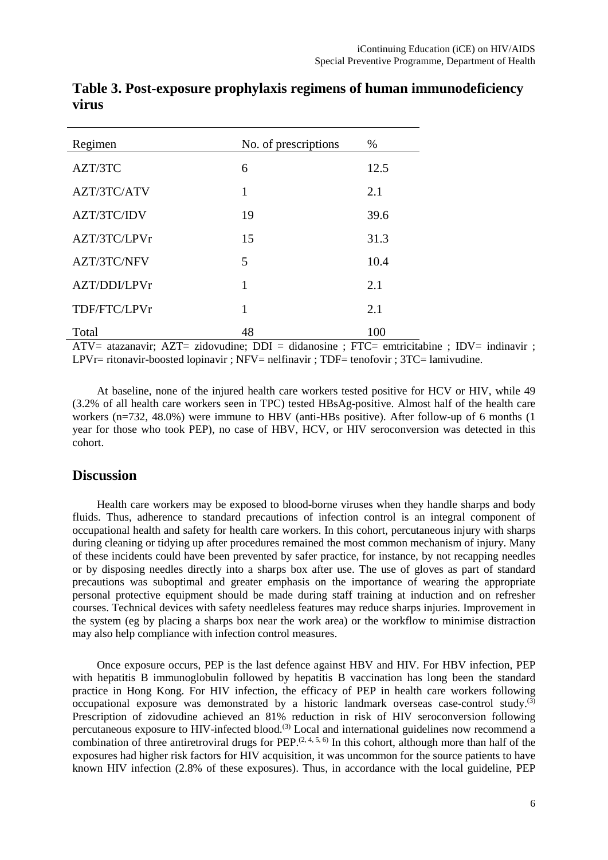| Regimen            | No. of prescriptions | %    |
|--------------------|----------------------|------|
| AZT/3TC            | 6                    | 12.5 |
| AZT/3TC/ATV        | 1                    | 2.1  |
| AZT/3TC/IDV        | 19                   | 39.6 |
| AZT/3TC/LPVr       | 15                   | 31.3 |
| <b>AZT/3TC/NFV</b> | 5                    | 10.4 |
| AZT/DDI/LPVr       | 1                    | 2.1  |
| TDF/FTC/LPVr       | 1                    | 2.1  |
| Total              | 48                   | 100  |

**Table 3. Post-exposure prophylaxis regimens of human immunodeficiency virus**

ATV= atazanavir; AZT= zidovudine; DDI = didanosine ; FTC= emtricitabine ; IDV= indinavir ; LPVr= ritonavir-boosted lopinavir ; NFV= nelfinavir ; TDF= tenofovir ; 3TC= lamivudine.

At baseline, none of the injured health care workers tested positive for HCV or HIV, while 49 (3.2% of all health care workers seen in TPC) tested HBsAg-positive. Almost half of the health care workers (n=732, 48.0%) were immune to HBV (anti-HBs positive). After follow-up of 6 months (1 year for those who took PEP), no case of HBV, HCV, or HIV seroconversion was detected in this cohort.

#### **Discussion**

Health care workers may be exposed to blood-borne viruses when they handle sharps and body fluids. Thus, adherence to standard precautions of infection control is an integral component of occupational health and safety for health care workers. In this cohort, percutaneous injury with sharps during cleaning or tidying up after procedures remained the most common mechanism of injury. Many of these incidents could have been prevented by safer practice, for instance, by not recapping needles or by disposing needles directly into a sharps box after use. The use of gloves as part of standard precautions was suboptimal and greater emphasis on the importance of wearing the appropriate personal protective equipment should be made during staff training at induction and on refresher courses. Technical devices with safety needleless features may reduce sharps injuries. Improvement in the system (eg by placing a sharps box near the work area) or the workflow to minimise distraction may also help compliance with infection control measures.

Once exposure occurs, PEP is the last defence against HBV and HIV. For HBV infection, PEP with hepatitis B immunoglobulin followed by hepatitis B vaccination has long been the standard practice in Hong Kong. For HIV infection, the efficacy of PEP in health care workers following occupational exposure was demonstrated by a historic landmark overseas case-control study.<sup>(3)</sup> Prescription of zidovudine achieved an 81% reduction in risk of HIV seroconversion following percutaneous exposure to HIV-infected blood.<sup>(3)</sup> Local and international guidelines now recommend a combination of three antiretroviral drugs for PEP.<sup> $(2, 4, 5, 6)$ </sup> In this cohort, although more than half of the exposures had higher risk factors for HIV acquisition, it was uncommon for the source patients to have known HIV infection (2.8% of these exposures). Thus, in accordance with the local guideline, PEP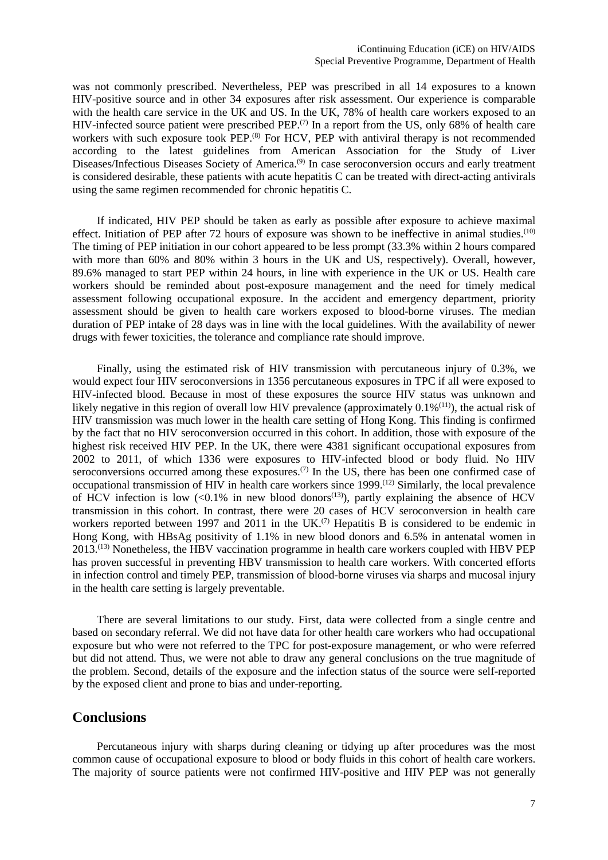was not commonly prescribed. Nevertheless, PEP was prescribed in all 14 exposures to a known HIV-positive source and in other 34 exposures after risk assessment. Our experience is comparable with the health care service in the UK and US. In the UK, 78% of health care workers exposed to an HIV-infected source patient were prescribed PEP.<sup>(7)</sup> In a report from the US, only 68% of health care workers with such exposure took PEP.<sup>(8)</sup> For HCV, PEP with antiviral therapy is not recommended according to the latest guidelines from American Association for the Study of Liver Diseases/Infectious Diseases Society of America.<sup>(9)</sup> In case seroconversion occurs and early treatment is considered desirable, these patients with acute hepatitis C can be treated with direct-acting antivirals using the same regimen recommended for chronic hepatitis C.

If indicated, HIV PEP should be taken as early as possible after exposure to achieve maximal effect. Initiation of PEP after 72 hours of exposure was shown to be ineffective in animal studies.<sup>(10)</sup> The timing of PEP initiation in our cohort appeared to be less prompt (33.3% within 2 hours compared with more than 60% and 80% within 3 hours in the UK and US, respectively). Overall, however, 89.6% managed to start PEP within 24 hours, in line with experience in the UK or US. Health care workers should be reminded about post-exposure management and the need for timely medical assessment following occupational exposure. In the accident and emergency department, priority assessment should be given to health care workers exposed to blood-borne viruses. The median duration of PEP intake of 28 days was in line with the local guidelines. With the availability of newer drugs with fewer toxicities, the tolerance and compliance rate should improve.

Finally, using the estimated risk of HIV transmission with percutaneous injury of 0.3%, we would expect four HIV seroconversions in 1356 percutaneous exposures in TPC if all were exposed to HIV-infected blood. Because in most of these exposures the source HIV status was unknown and likely negative in this region of overall low HIV prevalence (approximately  $0.1\%$ <sup>(11)</sup>), the actual risk of HIV transmission was much lower in the health care setting of Hong Kong. This finding is confirmed by the fact that no HIV seroconversion occurred in this cohort. In addition, those with exposure of the highest risk received HIV PEP. In the UK, there were 4381 significant occupational exposures from 2002 to 2011, of which 1336 were exposures to HIV-infected blood or body fluid. No HIV seroconversions occurred among these exposures.<sup> $(7)$ </sup> In the US, there has been one confirmed case of occupational transmission of HIV in health care workers since 1999.(12) Similarly, the local prevalence of HCV infection is low  $\langle 0.1\%$  in new blood donors<sup>(13)</sup>), partly explaining the absence of HCV transmission in this cohort. In contrast, there were 20 cases of HCV seroconversion in health care workers reported between 1997 and 2011 in the UK.<sup> $(7)$ </sup> Hepatitis B is considered to be endemic in Hong Kong, with HBsAg positivity of 1.1% in new blood donors and 6.5% in antenatal women in 2013.(13) Nonetheless, the HBV vaccination programme in health care workers coupled with HBV PEP has proven successful in preventing HBV transmission to health care workers. With concerted efforts in infection control and timely PEP, transmission of blood-borne viruses via sharps and mucosal injury in the health care setting is largely preventable.

There are several limitations to our study. First, data were collected from a single centre and based on secondary referral. We did not have data for other health care workers who had occupational exposure but who were not referred to the TPC for post-exposure management, or who were referred but did not attend. Thus, we were not able to draw any general conclusions on the true magnitude of the problem. Second, details of the exposure and the infection status of the source were self-reported by the exposed client and prone to bias and under-reporting.

#### **Conclusions**

Percutaneous injury with sharps during cleaning or tidying up after procedures was the most common cause of occupational exposure to blood or body fluids in this cohort of health care workers. The majority of source patients were not confirmed HIV-positive and HIV PEP was not generally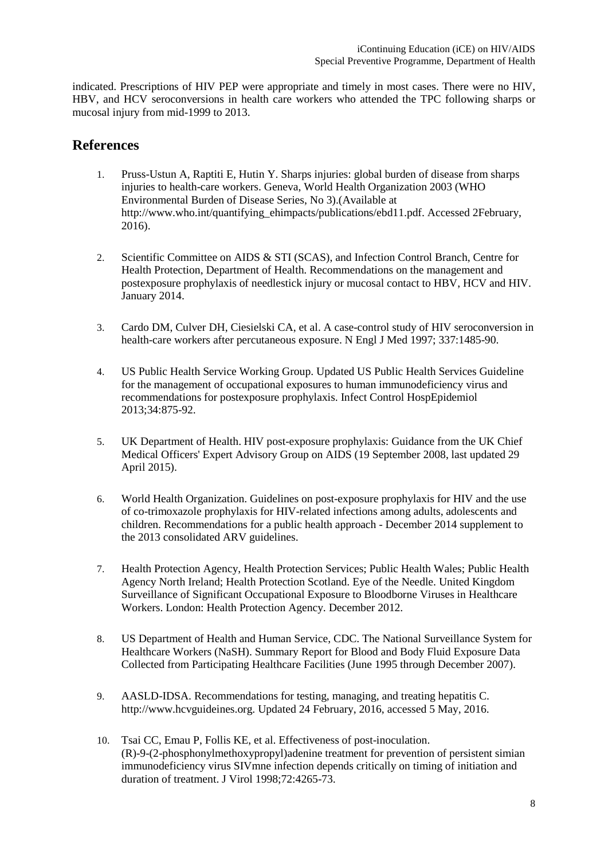indicated. Prescriptions of HIV PEP were appropriate and timely in most cases. There were no HIV, HBV, and HCV seroconversions in health care workers who attended the TPC following sharps or mucosal injury from mid-1999 to 2013.

## **References**

- 1. Pruss-Ustun A, Raptiti E, Hutin Y. Sharps injuries: global burden of disease from sharps injuries to health-care workers. Geneva, World Health Organization 2003 (WHO Environmental Burden of Disease Series, No 3).(Available at http://www.who.int/quantifying\_ehimpacts/publications/ebd11.pdf. Accessed 2February, 2016).
- 2. Scientific Committee on AIDS & STI (SCAS), and Infection Control Branch, Centre for Health Protection, Department of Health. Recommendations on the management and postexposure prophylaxis of needlestick injury or mucosal contact to HBV, HCV and HIV. January 2014.
- 3. Cardo DM, Culver DH, Ciesielski CA, et al. A case-control study of HIV seroconversion in health-care workers after percutaneous exposure. N Engl J Med 1997; 337:1485-90.
- 4. US Public Health Service Working Group. Updated US Public Health Services Guideline for the management of occupational exposures to human immunodeficiency virus and recommendations for postexposure prophylaxis. Infect Control HospEpidemiol 2013;34:875-92.
- 5. UK Department of Health. HIV post-exposure prophylaxis: Guidance from the UK Chief Medical Officers' Expert Advisory Group on AIDS (19 September 2008, last updated 29 April 2015).
- 6. World Health Organization. Guidelines on post-exposure prophylaxis for HIV and the use of co-trimoxazole prophylaxis for HIV-related infections among adults, adolescents and children. Recommendations for a public health approach - December 2014 supplement to the 2013 consolidated ARV guidelines.
- 7. Health Protection Agency, Health Protection Services; Public Health Wales; Public Health Agency North Ireland; Health Protection Scotland. Eye of the Needle. United Kingdom Surveillance of Significant Occupational Exposure to Bloodborne Viruses in Healthcare Workers. London: Health Protection Agency. December 2012.
- 8. US Department of Health and Human Service, CDC. The National Surveillance System for Healthcare Workers (NaSH). Summary Report for Blood and Body Fluid Exposure Data Collected from Participating Healthcare Facilities (June 1995 through December 2007).
- 9. AASLD-IDSA. Recommendations for testing, managing, and treating hepatitis C. http://www.hcvguideines.org. Updated 24 February, 2016, accessed 5 May, 2016.
- 10. Tsai CC, Emau P, Follis KE, et al. Effectiveness of post-inoculation. (R)-9-(2-phosphonylmethoxypropyl)adenine treatment for prevention of persistent simian immunodeficiency virus SIVmne infection depends critically on timing of initiation and duration of treatment. J Virol 1998;72:4265-73.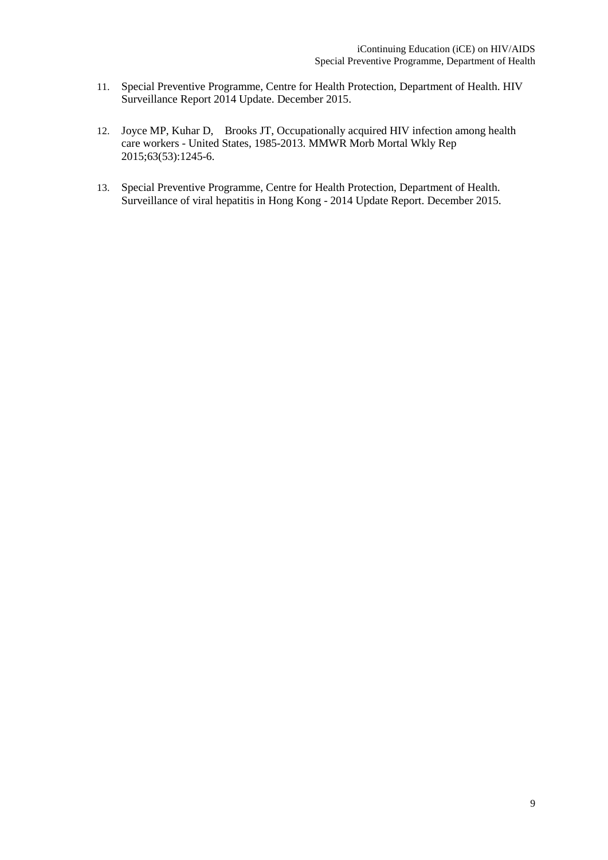- 11. Special Preventive Programme, Centre for Health Protection, Department of Health. HIV Surveillance Report 2014 Update. December 2015.
- 12. Joyce MP, Kuhar D, Brooks JT, Occupationally acquired HIV infection among health care workers - United States, 1985-2013. MMWR Morb Mortal Wkly Rep 2015;63(53):1245-6.
- 13. Special Preventive Programme, Centre for Health Protection, Department of Health. Surveillance of viral hepatitis in Hong Kong - 2014 Update Report. December 2015.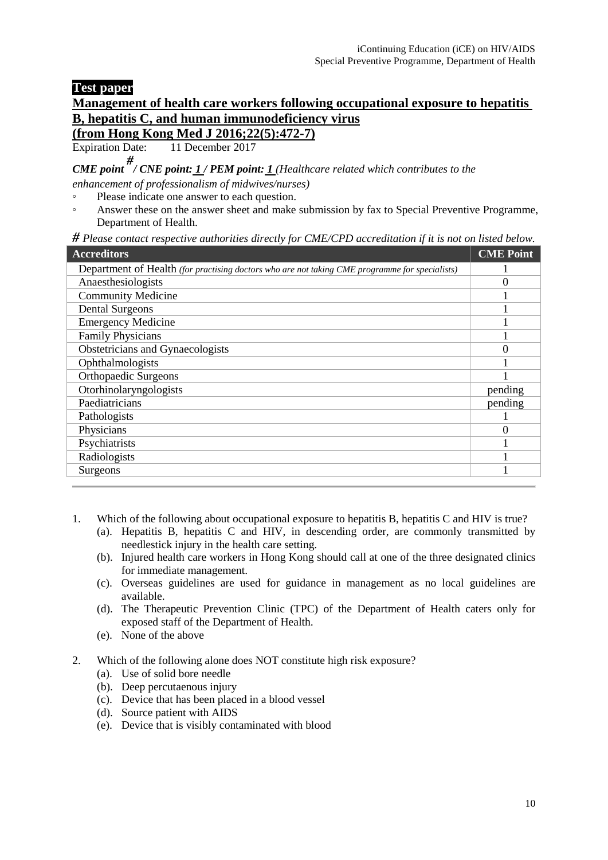## **Test paper**

# **Management of health care workers following occupational exposure to hepatitis B, hepatitis C, and human immunodeficiency virus**

# **(from Hong Kong Med J 2016;22(5):472-7)**<br>Expiration Date: 11 December 2017

11 December 2017

*CME point # / CNE point: 1 / PEM point: 1 (Healthcare related which contributes to the enhancement of professionalism of midwives/nurses)*

- Please indicate one answer to each question.
- Answer these on the answer sheet and make submission by fax to Special Preventive Programme, Department of Health.

*# Please contact respective authorities directly for CME/CPD accreditation if it is not on listed below.* 

| <b>Accreditors</b>                                                                             | <b>CME Point</b> |
|------------------------------------------------------------------------------------------------|------------------|
| Department of Health (for practising doctors who are not taking CME programme for specialists) |                  |
| Anaesthesiologists                                                                             |                  |
| <b>Community Medicine</b>                                                                      |                  |
| <b>Dental Surgeons</b>                                                                         |                  |
| <b>Emergency Medicine</b>                                                                      |                  |
| <b>Family Physicians</b>                                                                       |                  |
| Obstetricians and Gynaecologists                                                               | 0                |
| Ophthalmologists                                                                               |                  |
| <b>Orthopaedic Surgeons</b>                                                                    |                  |
| Otorhinolaryngologists                                                                         | pending          |
| Paediatricians                                                                                 | pending          |
| Pathologists                                                                                   |                  |
| Physicians                                                                                     | $\Omega$         |
| Psychiatrists                                                                                  |                  |
| Radiologists                                                                                   |                  |
| Surgeons                                                                                       |                  |

- 1. Which of the following about occupational exposure to hepatitis B, hepatitis C and HIV is true?
	- (a). Hepatitis B, hepatitis C and HIV, in descending order, are commonly transmitted by needlestick injury in the health care setting.
	- (b). Injured health care workers in Hong Kong should call at one of the three designated clinics for immediate management.
	- (c). Overseas guidelines are used for guidance in management as no local guidelines are available.
	- (d). The Therapeutic Prevention Clinic (TPC) of the Department of Health caters only for exposed staff of the Department of Health.
	- (e). None of the above
- 2. Which of the following alone does NOT constitute high risk exposure?
	- (a). Use of solid bore needle
	- (b). Deep percutaenous injury
	- (c). Device that has been placed in a blood vessel
	- (d). Source patient with AIDS
	- (e). Device that is visibly contaminated with blood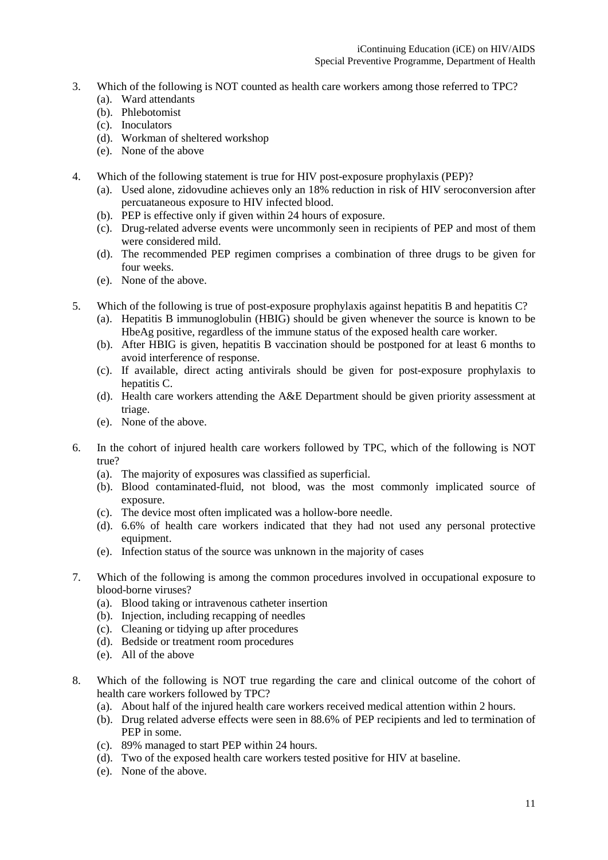- 3. Which of the following is NOT counted as health care workers among those referred to TPC?
	- (a). Ward attendants
	- (b). Phlebotomist
	- (c). Inoculators
	- (d). Workman of sheltered workshop
	- (e). None of the above
- 4. Which of the following statement is true for HIV post-exposure prophylaxis (PEP)?
	- (a). Used alone, zidovudine achieves only an 18% reduction in risk of HIV seroconversion after percuataneous exposure to HIV infected blood.
	- (b). PEP is effective only if given within 24 hours of exposure.
	- (c). Drug-related adverse events were uncommonly seen in recipients of PEP and most of them were considered mild.
	- (d). The recommended PEP regimen comprises a combination of three drugs to be given for four weeks.
	- (e). None of the above.
- 5. Which of the following is true of post-exposure prophylaxis against hepatitis B and hepatitis C?
	- (a). Hepatitis B immunoglobulin (HBIG) should be given whenever the source is known to be HbeAg positive, regardless of the immune status of the exposed health care worker.
	- (b). After HBIG is given, hepatitis B vaccination should be postponed for at least 6 months to avoid interference of response.
	- (c). If available, direct acting antivirals should be given for post-exposure prophylaxis to hepatitis C.
	- (d). Health care workers attending the A&E Department should be given priority assessment at triage.
	- (e). None of the above.
- 6. In the cohort of injured health care workers followed by TPC, which of the following is NOT true?
	- (a). The majority of exposures was classified as superficial.
	- (b). Blood contaminated-fluid, not blood, was the most commonly implicated source of exposure.
	- (c). The device most often implicated was a hollow-bore needle.
	- (d). 6.6% of health care workers indicated that they had not used any personal protective equipment.
	- (e). Infection status of the source was unknown in the majority of cases
- 7. Which of the following is among the common procedures involved in occupational exposure to blood-borne viruses?
	- (a). Blood taking or intravenous catheter insertion
	- (b). Injection, including recapping of needles
	- (c). Cleaning or tidying up after procedures
	- (d). Bedside or treatment room procedures
	- (e). All of the above
- 8. Which of the following is NOT true regarding the care and clinical outcome of the cohort of health care workers followed by TPC?
	- (a). About half of the injured health care workers received medical attention within 2 hours.
	- (b). Drug related adverse effects were seen in 88.6% of PEP recipients and led to termination of PEP in some.
	- (c). 89% managed to start PEP within 24 hours.
	- (d). Two of the exposed health care workers tested positive for HIV at baseline.
	- (e). None of the above.